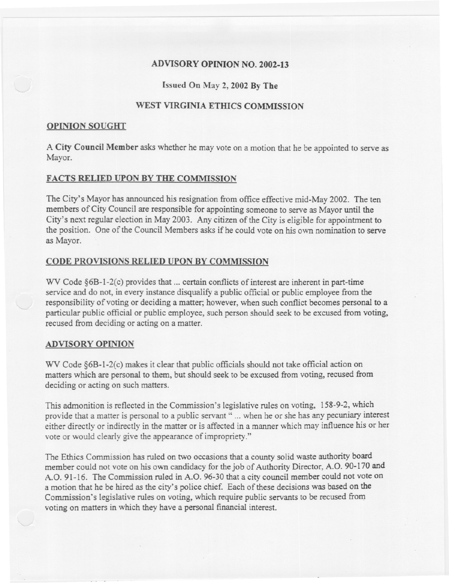# ADVISORY OPINION NO. 2002-13

### Issued On May 2, 2002 By The

## WEST VIRGINIA ETHICS COMMISSION

#### OPINION SOUGHT

A City Council Member asks whether he may vote on a motion that he be appointed to serve as Mayor.

## FACTS RELIED UPON BY THE COMMISSION

---

The City's Mayor has announced his resignation from office effective mid-May 2002. The ten members of City Council are responsible for appointing someone to serve as Mayor until the City's next regular election in May 2003. Any citizen of the City is eligible for appointment to the position. One of the Council Members asks if he could vote on his own nomination to serve as Mayor.

### CODE PROVISIONS RELIED UPON BY COMMISSION

WV Code §6B-1-2(c) provides that ... certain conflicts of interest are inherent in part-time service and do not, in every instance disqualify a public official or public employee from the responsibility of voting or deciding a matter; however, when such conflict becomes personal to a particular public official or public employee, such person should seek to be excused from voting, recused from deciding or acting on a matter.

#### ADVISORY OPINION

WV Code §6B-1-2(c) makes it clear that public officials should not take official action on matters which are personal to them, but should seek to be excused from voting, recused from deciding or acting on such matters.

This admonition is reflected in the Commission's legislative rules on voting, 158-9-2, which provide that a matter is personal to a public servant" ... when he or she has any pecuniary interest either directly or indirectly in the matter or is affected in a manner which may influence his or her vote or would clearly give the appearance of impropriety."

The Ethics Commission has ruled on two occasions that a county solid waste authority board member could not vote on his own candidacy for the job of Authority Director, A.O. 90-170 and A.O. 91-16. The Commission ruled in A.O. 96-30 that a city council member could not vote on a motion that he be hired as the city's police chief. Each of these decisions was based on the Commission's legislative rules on voting, which require public servants to be recused from voting on matters in which they have a personal financial interest.